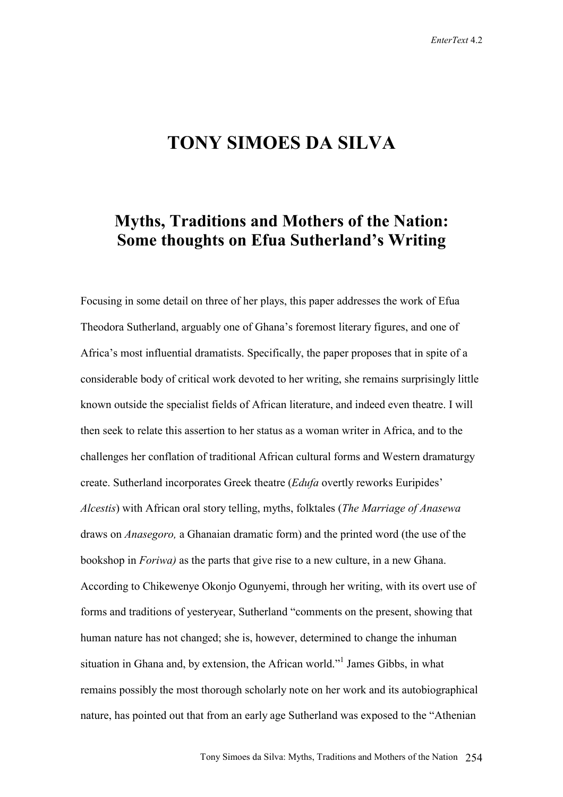## **TONY SIMOES DA SILVA**

## **Myths, Traditions and Mothers of the Nation: Some thoughts on Efua Sutherland's Writing**

Focusing in some detail on three of her plays, this paper addresses the work of Efua Theodora Sutherland, arguably one of Ghana's foremost literary figures, and one of Africa's most influential dramatists. Specifically, the paper proposes that in spite of a considerable body of critical work devoted to her writing, she remains surprisingly little known outside the specialist fields of African literature, and indeed even theatre. I will then seek to relate this assertion to her status as a woman writer in Africa, and to the challenges her conflation of traditional African cultural forms and Western dramaturgy create. Sutherland incorporates Greek theatre (*Edufa* overtly reworks Euripides' *Alcestis*) with African oral story telling, myths, folktales (*The Marriage of Anasewa*  draws on *Anasegoro,* a Ghanaian dramatic form) and the printed word (the use of the bookshop in *Foriwa)* as the parts that give rise to a new culture, in a new Ghana. According to Chikewenye Okonjo Ogunyemi, through her writing, with its overt use of forms and traditions of yesteryear, Sutherland "comments on the present, showing that human nature has not changed; she is, however, determined to change the inhuman situation in Ghana and, by extension, the African world."<sup>1</sup> James Gibbs, in what remains possibly the most thorough scholarly note on her work and its autobiographical nature, has pointed out that from an early age Sutherland was exposed to the "Athenian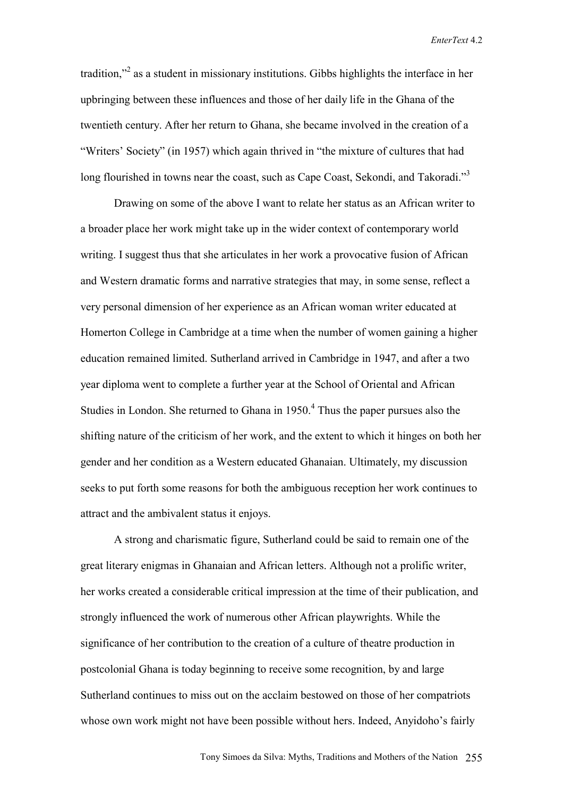tradition,"<sup>2</sup> as a student in missionary institutions. Gibbs highlights the interface in her upbringing between these influences and those of her daily life in the Ghana of the twentieth century. After her return to Ghana, she became involved in the creation of a "Writers' Society" (in 1957) which again thrived in "the mixture of cultures that had long flourished in towns near the coast, such as Cape Coast, Sekondi, and Takoradi."<sup>3</sup>

Drawing on some of the above I want to relate her status as an African writer to a broader place her work might take up in the wider context of contemporary world writing. I suggest thus that she articulates in her work a provocative fusion of African and Western dramatic forms and narrative strategies that may, in some sense, reflect a very personal dimension of her experience as an African woman writer educated at Homerton College in Cambridge at a time when the number of women gaining a higher education remained limited. Sutherland arrived in Cambridge in 1947, and after a two year diploma went to complete a further year at the School of Oriental and African Studies in London. She returned to Ghana in  $1950<sup>4</sup>$  Thus the paper pursues also the shifting nature of the criticism of her work, and the extent to which it hinges on both her gender and her condition as a Western educated Ghanaian. Ultimately, my discussion seeks to put forth some reasons for both the ambiguous reception her work continues to attract and the ambivalent status it enjoys.

A strong and charismatic figure, Sutherland could be said to remain one of the great literary enigmas in Ghanaian and African letters. Although not a prolific writer, her works created a considerable critical impression at the time of their publication, and strongly influenced the work of numerous other African playwrights. While the significance of her contribution to the creation of a culture of theatre production in postcolonial Ghana is today beginning to receive some recognition, by and large Sutherland continues to miss out on the acclaim bestowed on those of her compatriots whose own work might not have been possible without hers. Indeed, Anyidoho's fairly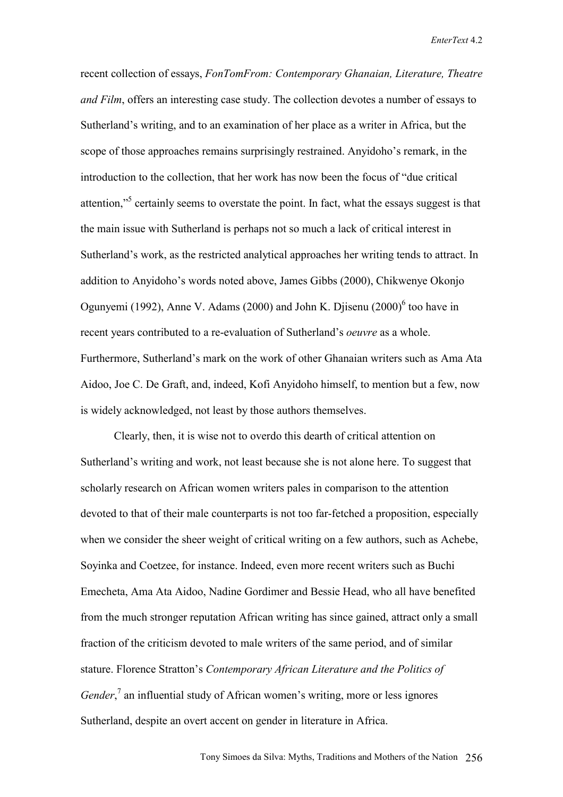recent collection of essays, *FonTomFrom: Contemporary Ghanaian, Literature, Theatre and Film*, offers an interesting case study. The collection devotes a number of essays to Sutherland's writing, and to an examination of her place as a writer in Africa, but the scope of those approaches remains surprisingly restrained. Anyidoho's remark, in the introduction to the collection, that her work has now been the focus of "due critical attention,"<sup>5</sup> certainly seems to overstate the point. In fact, what the essays suggest is that the main issue with Sutherland is perhaps not so much a lack of critical interest in Sutherland's work, as the restricted analytical approaches her writing tends to attract. In addition to Anyidoho's words noted above, James Gibbs (2000), Chikwenye Okonjo Ogunyemi (1992), Anne V. Adams (2000) and John K. Djisenu (2000) $<sup>6</sup>$  too have in</sup> recent years contributed to a re-evaluation of Sutherland's *oeuvre* as a whole. Furthermore, Sutherland's mark on the work of other Ghanaian writers such as Ama Ata Aidoo, Joe C. De Graft, and, indeed, Kofi Anyidoho himself, to mention but a few, now is widely acknowledged, not least by those authors themselves.

Clearly, then, it is wise not to overdo this dearth of critical attention on Sutherland's writing and work, not least because she is not alone here. To suggest that scholarly research on African women writers pales in comparison to the attention devoted to that of their male counterparts is not too far-fetched a proposition, especially when we consider the sheer weight of critical writing on a few authors, such as Achebe, Soyinka and Coetzee, for instance. Indeed, even more recent writers such as Buchi Emecheta, Ama Ata Aidoo, Nadine Gordimer and Bessie Head, who all have benefited from the much stronger reputation African writing has since gained, attract only a small fraction of the criticism devoted to male writers of the same period, and of similar stature. Florence Stratton's *Contemporary African Literature and the Politics of Gender*,<sup>7</sup> an influential study of African women's writing, more or less ignores Sutherland, despite an overt accent on gender in literature in Africa.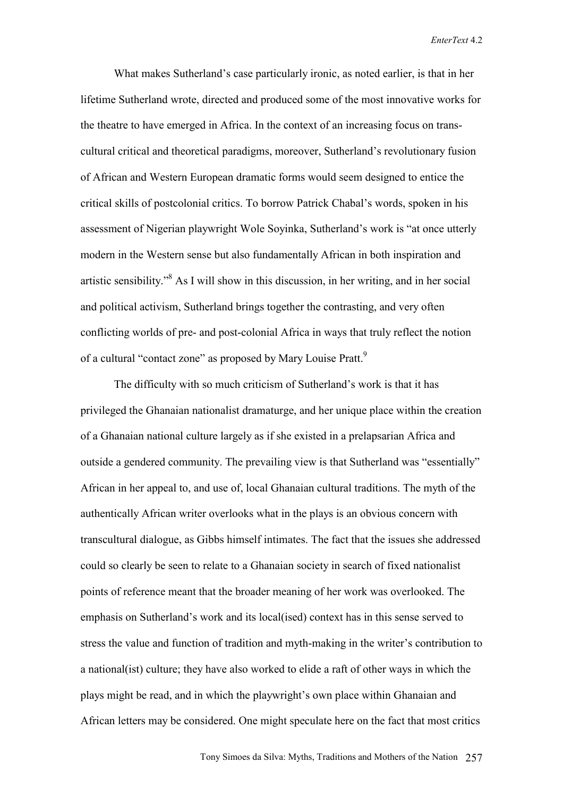What makes Sutherland's case particularly ironic, as noted earlier, is that in her lifetime Sutherland wrote, directed and produced some of the most innovative works for the theatre to have emerged in Africa. In the context of an increasing focus on transcultural critical and theoretical paradigms, moreover, Sutherland's revolutionary fusion of African and Western European dramatic forms would seem designed to entice the critical skills of postcolonial critics. To borrow Patrick Chabal's words, spoken in his assessment of Nigerian playwright Wole Soyinka, Sutherland's work is "at once utterly modern in the Western sense but also fundamentally African in both inspiration and artistic sensibility."<sup>8</sup> As I will show in this discussion, in her writing, and in her social and political activism, Sutherland brings together the contrasting, and very often conflicting worlds of pre- and post-colonial Africa in ways that truly reflect the notion of a cultural "contact zone" as proposed by Mary Louise Pratt.<sup>9</sup>

The difficulty with so much criticism of Sutherland's work is that it has privileged the Ghanaian nationalist dramaturge, and her unique place within the creation of a Ghanaian national culture largely as if she existed in a prelapsarian Africa and outside a gendered community. The prevailing view is that Sutherland was "essentially" African in her appeal to, and use of, local Ghanaian cultural traditions. The myth of the authentically African writer overlooks what in the plays is an obvious concern with transcultural dialogue, as Gibbs himself intimates. The fact that the issues she addressed could so clearly be seen to relate to a Ghanaian society in search of fixed nationalist points of reference meant that the broader meaning of her work was overlooked. The emphasis on Sutherland's work and its local(ised) context has in this sense served to stress the value and function of tradition and myth-making in the writer's contribution to a national(ist) culture; they have also worked to elide a raft of other ways in which the plays might be read, and in which the playwright's own place within Ghanaian and African letters may be considered. One might speculate here on the fact that most critics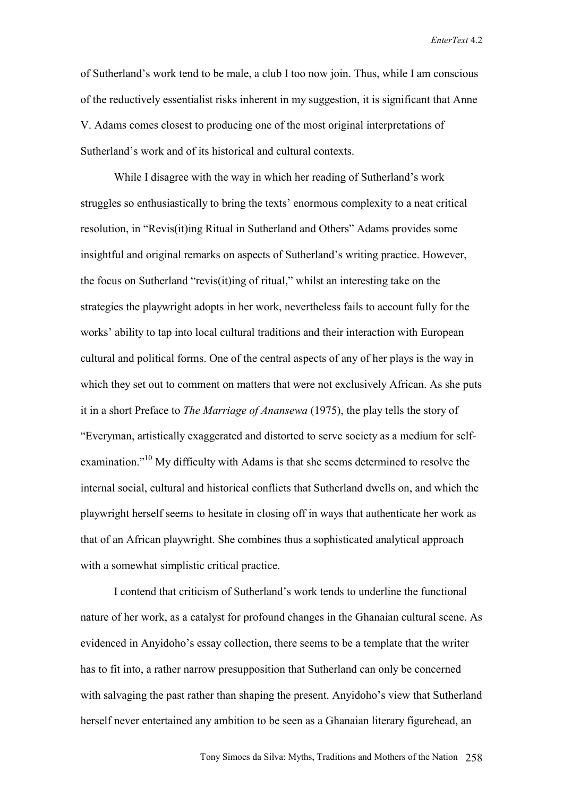of Sutherland's work tend to be male, a club I too now join. Thus, while I am conscious of the reductively essentialist risks inherent in my suggestion, it is significant that Anne V. Adams comes closest to producing one of the most original interpretations of Sutherland's work and of its historical and cultural contexts.

While I disagree with the way in which her reading of Sutherland's work struggles so enthusiastically to bring the texts' enormous complexity to a neat critical resolution, in "Revis(it)ing Ritual in Sutherland and Others" Adams provides some insightful and original remarks on aspects of Sutherland's writing practice. However, the focus on Sutherland "revis(it)ing of ritual," whilst an interesting take on the strategies the playwright adopts in her work, nevertheless fails to account fully for the works' ability to tap into local cultural traditions and their interaction with European cultural and political forms. One of the central aspects of any of her plays is the way in which they set out to comment on matters that were not exclusively African. As she puts it in a short Preface to *The Marriage of Anansewa* (1975), the play tells the story of "Everyman, artistically exaggerated and distorted to serve society as a medium for selfexamination."<sup>10</sup> My difficulty with Adams is that she seems determined to resolve the internal social, cultural and historical conflicts that Sutherland dwells on, and which the playwright herself seems to hesitate in closing off in ways that authenticate her work as that of an African playwright. She combines thus a sophisticated analytical approach with a somewhat simplistic critical practice.

I contend that criticism of Sutherland's work tends to underline the functional nature of her work, as a catalyst for profound changes in the Ghanaian cultural scene. As evidenced in Anyidoho's essay collection, there seems to be a template that the writer has to fit into, a rather narrow presupposition that Sutherland can only be concerned with salvaging the past rather than shaping the present. Anyidoho's view that Sutherland herself never entertained any ambition to be seen as a Ghanaian literary figurehead, an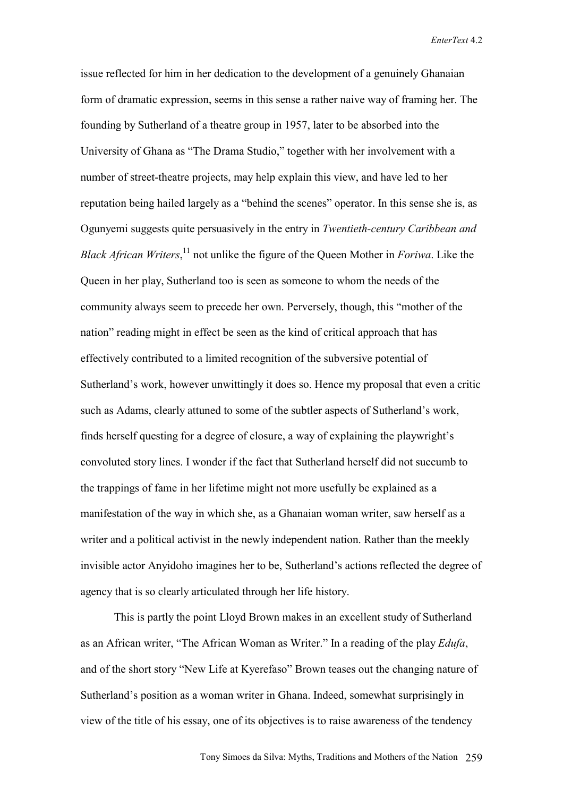issue reflected for him in her dedication to the development of a genuinely Ghanaian form of dramatic expression, seems in this sense a rather naive way of framing her. The founding by Sutherland of a theatre group in 1957, later to be absorbed into the University of Ghana as "The Drama Studio," together with her involvement with a number of street-theatre projects, may help explain this view, and have led to her reputation being hailed largely as a "behind the scenes" operator. In this sense she is, as Ogunyemi suggests quite persuasively in the entry in *Twentieth-century Caribbean and Black African Writers*, 11 not unlike the figure of the Queen Mother in *Foriwa*. Like the Queen in her play, Sutherland too is seen as someone to whom the needs of the community always seem to precede her own. Perversely, though, this "mother of the nation" reading might in effect be seen as the kind of critical approach that has effectively contributed to a limited recognition of the subversive potential of Sutherland's work, however unwittingly it does so. Hence my proposal that even a critic such as Adams, clearly attuned to some of the subtler aspects of Sutherland's work, finds herself questing for a degree of closure, a way of explaining the playwright's convoluted story lines. I wonder if the fact that Sutherland herself did not succumb to the trappings of fame in her lifetime might not more usefully be explained as a manifestation of the way in which she, as a Ghanaian woman writer, saw herself as a writer and a political activist in the newly independent nation. Rather than the meekly invisible actor Anyidoho imagines her to be, Sutherland's actions reflected the degree of agency that is so clearly articulated through her life history.

This is partly the point Lloyd Brown makes in an excellent study of Sutherland as an African writer, "The African Woman as Writer." In a reading of the play *Edufa*, and of the short story "New Life at Kyerefaso" Brown teases out the changing nature of Sutherland's position as a woman writer in Ghana. Indeed, somewhat surprisingly in view of the title of his essay, one of its objectives is to raise awareness of the tendency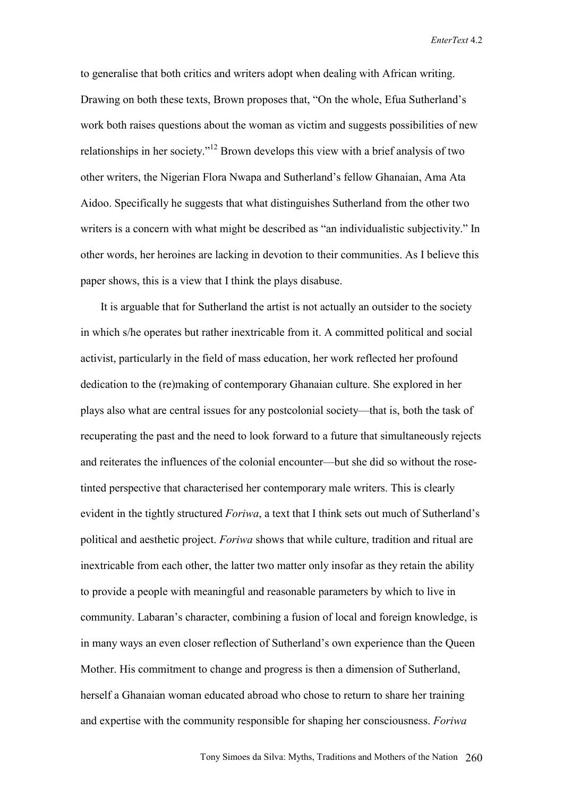to generalise that both critics and writers adopt when dealing with African writing. Drawing on both these texts, Brown proposes that, "On the whole, Efua Sutherland's work both raises questions about the woman as victim and suggests possibilities of new relationships in her society."12 Brown develops this view with a brief analysis of two other writers, the Nigerian Flora Nwapa and Sutherland's fellow Ghanaian, Ama Ata Aidoo. Specifically he suggests that what distinguishes Sutherland from the other two writers is a concern with what might be described as "an individualistic subjectivity." In other words, her heroines are lacking in devotion to their communities. As I believe this paper shows, this is a view that I think the plays disabuse.

 It is arguable that for Sutherland the artist is not actually an outsider to the society in which s/he operates but rather inextricable from it. A committed political and social activist, particularly in the field of mass education, her work reflected her profound dedication to the (re)making of contemporary Ghanaian culture. She explored in her plays also what are central issues for any postcolonial society—that is, both the task of recuperating the past and the need to look forward to a future that simultaneously rejects and reiterates the influences of the colonial encounter—but she did so without the rosetinted perspective that characterised her contemporary male writers. This is clearly evident in the tightly structured *Foriwa*, a text that I think sets out much of Sutherland's political and aesthetic project. *Foriwa* shows that while culture, tradition and ritual are inextricable from each other, the latter two matter only insofar as they retain the ability to provide a people with meaningful and reasonable parameters by which to live in community. Labaran's character, combining a fusion of local and foreign knowledge, is in many ways an even closer reflection of Sutherland's own experience than the Queen Mother. His commitment to change and progress is then a dimension of Sutherland, herself a Ghanaian woman educated abroad who chose to return to share her training and expertise with the community responsible for shaping her consciousness. *Foriwa*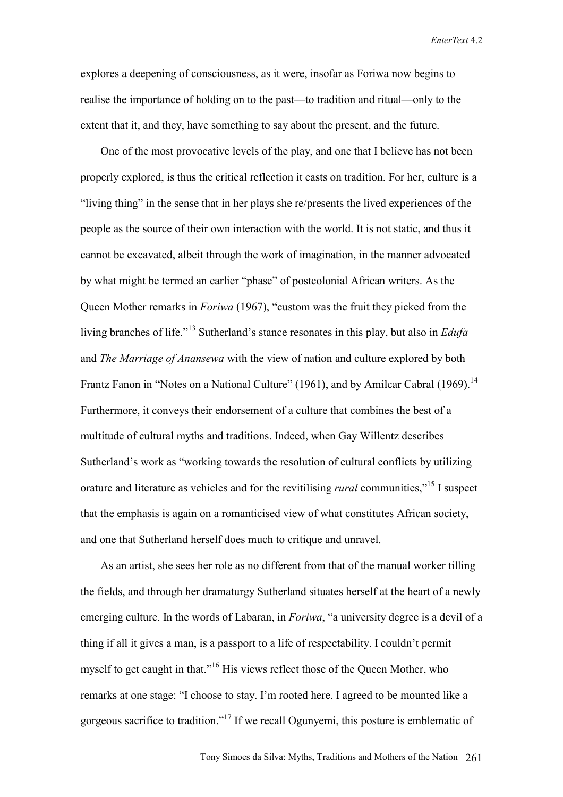explores a deepening of consciousness, as it were, insofar as Foriwa now begins to realise the importance of holding on to the past—to tradition and ritual—only to the extent that it, and they, have something to say about the present, and the future.

 One of the most provocative levels of the play, and one that I believe has not been properly explored, is thus the critical reflection it casts on tradition. For her, culture is a "living thing" in the sense that in her plays she re/presents the lived experiences of the people as the source of their own interaction with the world. It is not static, and thus it cannot be excavated, albeit through the work of imagination, in the manner advocated by what might be termed an earlier "phase" of postcolonial African writers. As the Queen Mother remarks in *Foriwa* (1967), "custom was the fruit they picked from the living branches of life."13 Sutherland's stance resonates in this play, but also in *Edufa* and *The Marriage of Anansewa* with the view of nation and culture explored by both Frantz Fanon in "Notes on a National Culture" (1961), and by Amílcar Cabral (1969).<sup>14</sup> Furthermore, it conveys their endorsement of a culture that combines the best of a multitude of cultural myths and traditions. Indeed, when Gay Willentz describes Sutherland's work as "working towards the resolution of cultural conflicts by utilizing orature and literature as vehicles and for the revitilising *rural* communities,"15 I suspect that the emphasis is again on a romanticised view of what constitutes African society, and one that Sutherland herself does much to critique and unravel.

 As an artist, she sees her role as no different from that of the manual worker tilling the fields, and through her dramaturgy Sutherland situates herself at the heart of a newly emerging culture. In the words of Labaran, in *Foriwa*, "a university degree is a devil of a thing if all it gives a man, is a passport to a life of respectability. I couldn't permit myself to get caught in that."<sup>16</sup> His views reflect those of the Queen Mother, who remarks at one stage: "I choose to stay. I'm rooted here. I agreed to be mounted like a gorgeous sacrifice to tradition."17 If we recall Ogunyemi, this posture is emblematic of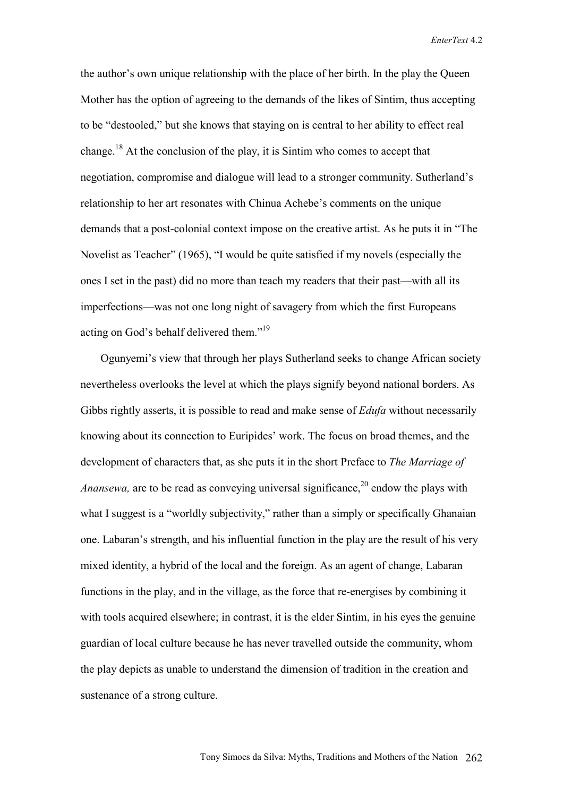the author's own unique relationship with the place of her birth. In the play the Queen Mother has the option of agreeing to the demands of the likes of Sintim, thus accepting to be "destooled," but she knows that staying on is central to her ability to effect real change.<sup>18</sup> At the conclusion of the play, it is Sintim who comes to accept that negotiation, compromise and dialogue will lead to a stronger community. Sutherland's relationship to her art resonates with Chinua Achebe's comments on the unique demands that a post-colonial context impose on the creative artist. As he puts it in "The Novelist as Teacher" (1965), "I would be quite satisfied if my novels (especially the ones I set in the past) did no more than teach my readers that their past—with all its imperfections—was not one long night of savagery from which the first Europeans acting on God's behalf delivered them."<sup>19</sup>

 Ogunyemi's view that through her plays Sutherland seeks to change African society nevertheless overlooks the level at which the plays signify beyond national borders. As Gibbs rightly asserts, it is possible to read and make sense of *Edufa* without necessarily knowing about its connection to Euripides' work. The focus on broad themes, and the development of characters that, as she puts it in the short Preface to *The Marriage of Anansewa,* are to be read as conveying universal significance,<sup>20</sup> endow the plays with what I suggest is a "worldly subjectivity," rather than a simply or specifically Ghanaian one. Labaran's strength, and his influential function in the play are the result of his very mixed identity, a hybrid of the local and the foreign. As an agent of change, Labaran functions in the play, and in the village, as the force that re-energises by combining it with tools acquired elsewhere; in contrast, it is the elder Sintim, in his eyes the genuine guardian of local culture because he has never travelled outside the community, whom the play depicts as unable to understand the dimension of tradition in the creation and sustenance of a strong culture.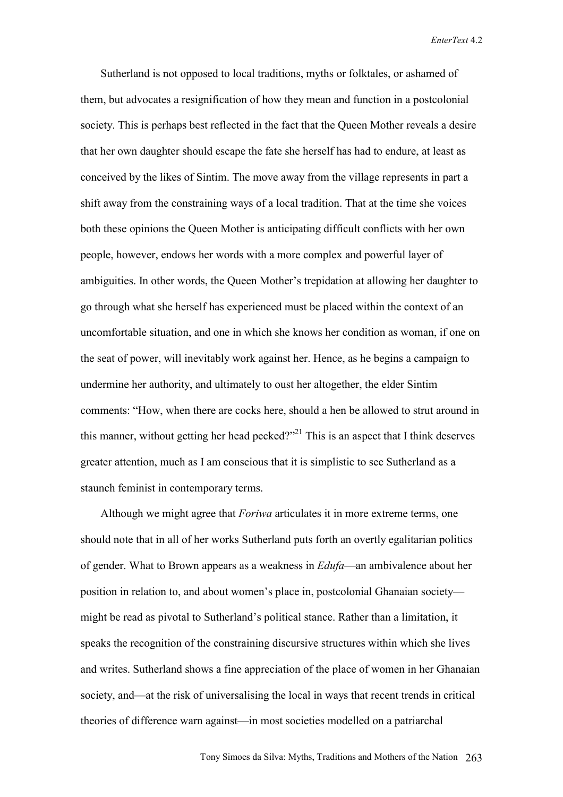Sutherland is not opposed to local traditions, myths or folktales, or ashamed of them, but advocates a resignification of how they mean and function in a postcolonial society. This is perhaps best reflected in the fact that the Queen Mother reveals a desire that her own daughter should escape the fate she herself has had to endure, at least as conceived by the likes of Sintim. The move away from the village represents in part a shift away from the constraining ways of a local tradition. That at the time she voices both these opinions the Queen Mother is anticipating difficult conflicts with her own people, however, endows her words with a more complex and powerful layer of ambiguities. In other words, the Queen Mother's trepidation at allowing her daughter to go through what she herself has experienced must be placed within the context of an uncomfortable situation, and one in which she knows her condition as woman, if one on the seat of power, will inevitably work against her. Hence, as he begins a campaign to undermine her authority, and ultimately to oust her altogether, the elder Sintim comments: "How, when there are cocks here, should a hen be allowed to strut around in this manner, without getting her head pecked?"<sup>21</sup> This is an aspect that I think deserves greater attention, much as I am conscious that it is simplistic to see Sutherland as a staunch feminist in contemporary terms.

 Although we might agree that *Foriwa* articulates it in more extreme terms, one should note that in all of her works Sutherland puts forth an overtly egalitarian politics of gender. What to Brown appears as a weakness in *Edufa*—an ambivalence about her position in relation to, and about women's place in, postcolonial Ghanaian society might be read as pivotal to Sutherland's political stance. Rather than a limitation, it speaks the recognition of the constraining discursive structures within which she lives and writes. Sutherland shows a fine appreciation of the place of women in her Ghanaian society, and—at the risk of universalising the local in ways that recent trends in critical theories of difference warn against—in most societies modelled on a patriarchal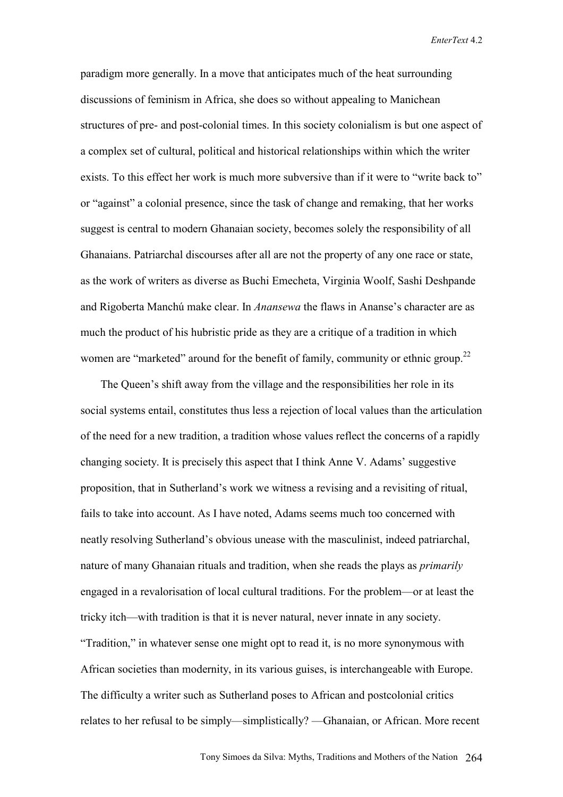paradigm more generally. In a move that anticipates much of the heat surrounding discussions of feminism in Africa, she does so without appealing to Manichean structures of pre- and post-colonial times. In this society colonialism is but one aspect of a complex set of cultural, political and historical relationships within which the writer exists. To this effect her work is much more subversive than if it were to "write back to" or "against" a colonial presence, since the task of change and remaking, that her works suggest is central to modern Ghanaian society, becomes solely the responsibility of all Ghanaians. Patriarchal discourses after all are not the property of any one race or state, as the work of writers as diverse as Buchi Emecheta, Virginia Woolf, Sashi Deshpande and Rigoberta Manchú make clear. In *Anansewa* the flaws in Ananse's character are as much the product of his hubristic pride as they are a critique of a tradition in which women are "marketed" around for the benefit of family, community or ethnic group.<sup>22</sup>

 The Queen's shift away from the village and the responsibilities her role in its social systems entail, constitutes thus less a rejection of local values than the articulation of the need for a new tradition, a tradition whose values reflect the concerns of a rapidly changing society. It is precisely this aspect that I think Anne V. Adams' suggestive proposition, that in Sutherland's work we witness a revising and a revisiting of ritual, fails to take into account. As I have noted, Adams seems much too concerned with neatly resolving Sutherland's obvious unease with the masculinist, indeed patriarchal, nature of many Ghanaian rituals and tradition, when she reads the plays as *primarily* engaged in a revalorisation of local cultural traditions. For the problem—or at least the tricky itch—with tradition is that it is never natural, never innate in any society. "Tradition," in whatever sense one might opt to read it, is no more synonymous with African societies than modernity, in its various guises, is interchangeable with Europe. The difficulty a writer such as Sutherland poses to African and postcolonial critics relates to her refusal to be simply—simplistically? —Ghanaian, or African. More recent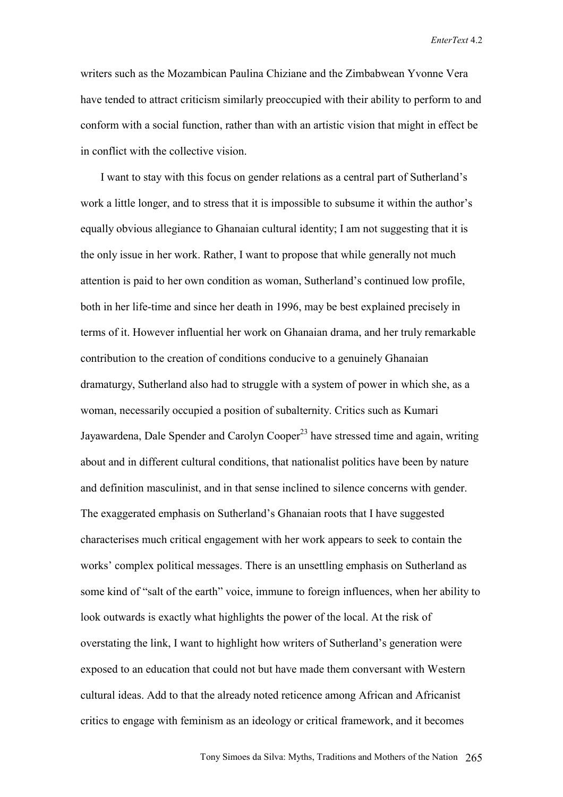writers such as the Mozambican Paulina Chiziane and the Zimbabwean Yvonne Vera have tended to attract criticism similarly preoccupied with their ability to perform to and conform with a social function, rather than with an artistic vision that might in effect be in conflict with the collective vision.

 I want to stay with this focus on gender relations as a central part of Sutherland's work a little longer, and to stress that it is impossible to subsume it within the author's equally obvious allegiance to Ghanaian cultural identity; I am not suggesting that it is the only issue in her work. Rather, I want to propose that while generally not much attention is paid to her own condition as woman, Sutherland's continued low profile, both in her life-time and since her death in 1996, may be best explained precisely in terms of it. However influential her work on Ghanaian drama, and her truly remarkable contribution to the creation of conditions conducive to a genuinely Ghanaian dramaturgy, Sutherland also had to struggle with a system of power in which she, as a woman, necessarily occupied a position of subalternity. Critics such as Kumari Jayawardena, Dale Spender and Carolyn Cooper<sup>23</sup> have stressed time and again, writing about and in different cultural conditions, that nationalist politics have been by nature and definition masculinist, and in that sense inclined to silence concerns with gender. The exaggerated emphasis on Sutherland's Ghanaian roots that I have suggested characterises much critical engagement with her work appears to seek to contain the works' complex political messages. There is an unsettling emphasis on Sutherland as some kind of "salt of the earth" voice, immune to foreign influences, when her ability to look outwards is exactly what highlights the power of the local. At the risk of overstating the link, I want to highlight how writers of Sutherland's generation were exposed to an education that could not but have made them conversant with Western cultural ideas. Add to that the already noted reticence among African and Africanist critics to engage with feminism as an ideology or critical framework, and it becomes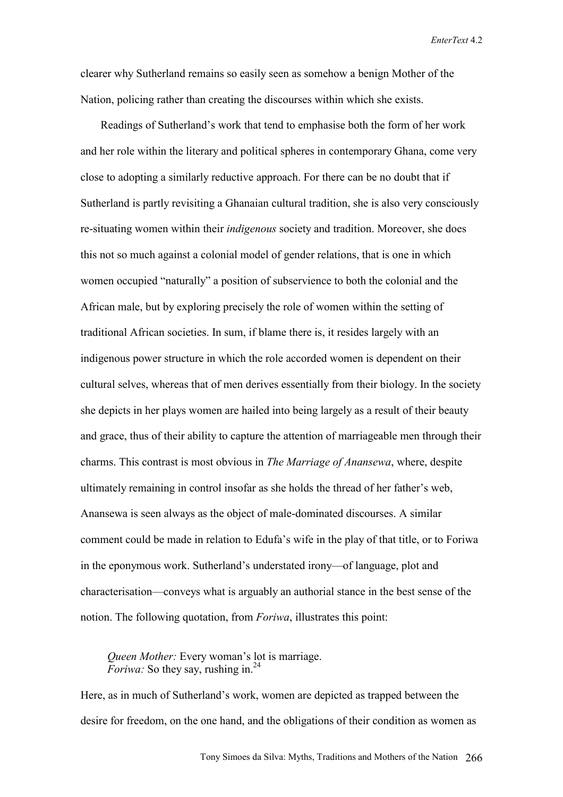clearer why Sutherland remains so easily seen as somehow a benign Mother of the Nation, policing rather than creating the discourses within which she exists.

 Readings of Sutherland's work that tend to emphasise both the form of her work and her role within the literary and political spheres in contemporary Ghana, come very close to adopting a similarly reductive approach. For there can be no doubt that if Sutherland is partly revisiting a Ghanaian cultural tradition, she is also very consciously re-situating women within their *indigenous* society and tradition. Moreover, she does this not so much against a colonial model of gender relations, that is one in which women occupied "naturally" a position of subservience to both the colonial and the African male, but by exploring precisely the role of women within the setting of traditional African societies. In sum, if blame there is, it resides largely with an indigenous power structure in which the role accorded women is dependent on their cultural selves, whereas that of men derives essentially from their biology. In the society she depicts in her plays women are hailed into being largely as a result of their beauty and grace, thus of their ability to capture the attention of marriageable men through their charms. This contrast is most obvious in *The Marriage of Anansewa*, where, despite ultimately remaining in control insofar as she holds the thread of her father's web, Anansewa is seen always as the object of male-dominated discourses. A similar comment could be made in relation to Edufa's wife in the play of that title, or to Foriwa in the eponymous work. Sutherland's understated irony—of language, plot and characterisation—conveys what is arguably an authorial stance in the best sense of the notion. The following quotation, from *Foriwa*, illustrates this point:

*Queen Mother:* Every woman's lot is marriage. *Foriwa:* So they say, rushing in.<sup>24</sup>

Here, as in much of Sutherland's work, women are depicted as trapped between the desire for freedom, on the one hand, and the obligations of their condition as women as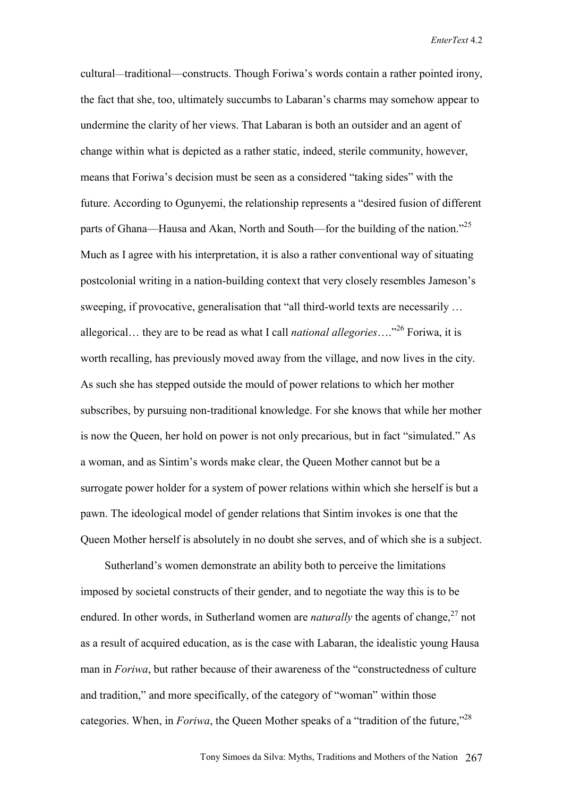cultural—traditional—constructs. Though Foriwa's words contain a rather pointed irony, the fact that she, too, ultimately succumbs to Labaran's charms may somehow appear to undermine the clarity of her views. That Labaran is both an outsider and an agent of change within what is depicted as a rather static, indeed, sterile community, however, means that Foriwa's decision must be seen as a considered "taking sides" with the future. According to Ogunyemi, the relationship represents a "desired fusion of different parts of Ghana—Hausa and Akan, North and South—for the building of the nation.<sup>725</sup> Much as I agree with his interpretation, it is also a rather conventional way of situating postcolonial writing in a nation-building context that very closely resembles Jameson's sweeping, if provocative, generalisation that "all third-world texts are necessarily ... allegorical… they are to be read as what I call *national allegories*…."26 Foriwa, it is worth recalling, has previously moved away from the village, and now lives in the city. As such she has stepped outside the mould of power relations to which her mother subscribes, by pursuing non-traditional knowledge. For she knows that while her mother is now the Queen, her hold on power is not only precarious, but in fact "simulated." As a woman, and as Sintim's words make clear, the Queen Mother cannot but be a surrogate power holder for a system of power relations within which she herself is but a pawn. The ideological model of gender relations that Sintim invokes is one that the Queen Mother herself is absolutely in no doubt she serves, and of which she is a subject.

 Sutherland's women demonstrate an ability both to perceive the limitations imposed by societal constructs of their gender, and to negotiate the way this is to be endured. In other words, in Sutherland women are *naturally* the agents of change,  $27$  not as a result of acquired education, as is the case with Labaran, the idealistic young Hausa man in *Foriwa*, but rather because of their awareness of the "constructedness of culture and tradition," and more specifically, of the category of "woman" within those categories. When, in *Foriwa*, the Queen Mother speaks of a "tradition of the future,"<sup>28</sup>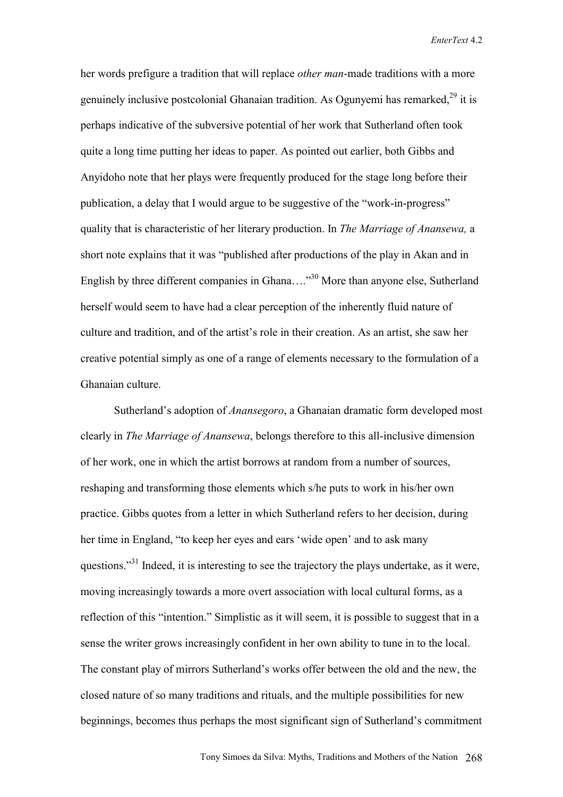her words prefigure a tradition that will replace *other man*-made traditions with a more genuinely inclusive postcolonial Ghanaian tradition. As Ogunyemi has remarked,29 it is perhaps indicative of the subversive potential of her work that Sutherland often took quite a long time putting her ideas to paper. As pointed out earlier, both Gibbs and Anyidoho note that her plays were frequently produced for the stage long before their publication, a delay that I would argue to be suggestive of the "work-in-progress" quality that is characteristic of her literary production. In *The Marriage of Anansewa,* a short note explains that it was "published after productions of the play in Akan and in English by three different companies in Ghana....<sup>30</sup> More than anyone else, Sutherland herself would seem to have had a clear perception of the inherently fluid nature of culture and tradition, and of the artist's role in their creation. As an artist, she saw her creative potential simply as one of a range of elements necessary to the formulation of a Ghanaian culture.

 Sutherland's adoption of *Anansegoro*, a Ghanaian dramatic form developed most clearly in *The Marriage of Anansewa*, belongs therefore to this all-inclusive dimension of her work, one in which the artist borrows at random from a number of sources, reshaping and transforming those elements which s/he puts to work in his/her own practice. Gibbs quotes from a letter in which Sutherland refers to her decision, during her time in England, "to keep her eyes and ears 'wide open' and to ask many questions."<sup>31</sup> Indeed, it is interesting to see the trajectory the plays undertake, as it were, moving increasingly towards a more overt association with local cultural forms, as a reflection of this "intention." Simplistic as it will seem, it is possible to suggest that in a sense the writer grows increasingly confident in her own ability to tune in to the local. The constant play of mirrors Sutherland's works offer between the old and the new, the closed nature of so many traditions and rituals, and the multiple possibilities for new beginnings, becomes thus perhaps the most significant sign of Sutherland's commitment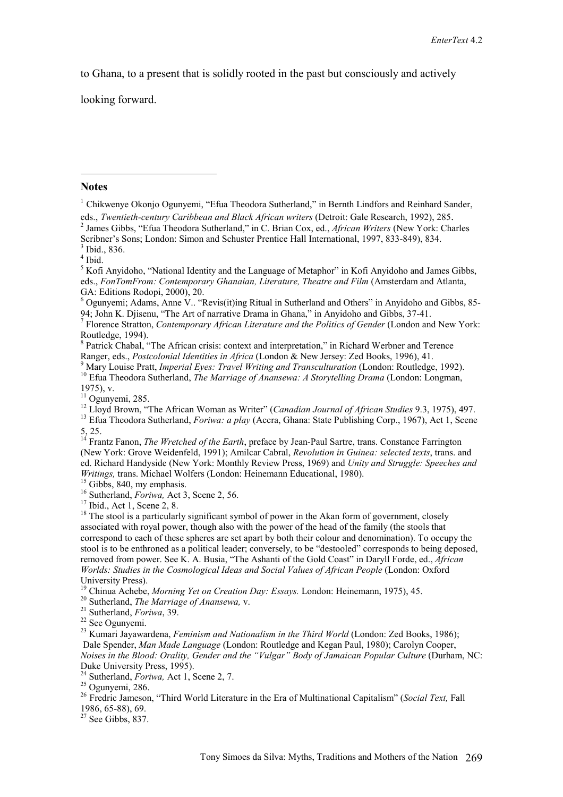to Ghana, to a present that is solidly rooted in the past but consciously and actively

looking forward.

## **Notes**

 $\overline{a}$ 

<sup>1</sup> Chikwenye Okonjo Ogunyemi, "Efua Theodora Sutherland," in Bernth Lindfors and Reinhard Sander, eds., *Twentieth-century Caribbean and Black African writers* (Detroit: Gale Research, 1992), 285. <sup>2</sup> James Gibbs, "Efua Theodora Sutherland," in C. Brian Cox, ed., *African Writers* (New York: Charles Scribner's Sons; London: Simon and Schuster Prentice Hall International, 1997, 833-849), 834.

 $3$  Ibid., 836.

4 Ibid.

<sup>5</sup> Kofi Anyidoho, "National Identity and the Language of Metaphor" in Kofi Anyidoho and James Gibbs, eds., *FonTomFrom: Contemporary Ghanaian, Literature, Theatre and Film* (Amsterdam and Atlanta, GA: Editions Rodopi, 2000), 20.

<sup>6</sup> Ogunyemi; Adams, Anne V.. "Revis(it)ing Ritual in Sutherland and Others" in Anyidoho and Gibbs, 85-94; John K. Djisenu, "The Art of narrative Drama in Ghana," in Anyidoho and Gibbs, 37-41.

7 Florence Stratton, *Contemporary African Literature and the Politics of Gender* (London and New York: Routledge, 1994).

<sup>8</sup> Patrick Chabal, "The African crisis: context and interpretation," in Richard Werbner and Terence Ranger, eds., *Postcolonial Identities in Africa* (London & New Jersey: Zed Books, 1996), 41.<br><sup>9</sup> Mary Louise Pratt, *Imperial Eyes: Travel Writing and Transculturation* (London: Routledge, 1992).

<sup>10</sup> Efua Theodora Sutherland, *The Marriage of Anansewa: A Storytelling Drama* (London: Longman, 1975), v.<br><sup>11</sup> Ogunyemi, 285.

<sup>12</sup> Lloyd Brown, "The African Woman as Writer" (*Canadian Journal of African Studies* 9.3, 1975), 497.<br><sup>13</sup> Efua Theodora Sutherland, *Foriwa: a play* (Accra, Ghana: State Publishing Corp., 1967), Act 1, Scene 5, 25.

<sup>14</sup> Frantz Fanon, *The Wretched of the Earth*, preface by Jean-Paul Sartre, trans. Constance Farrington (New York: Grove Weidenfeld, 1991); Amilcar Cabral, *Revolution in Guinea: selected texts*, trans. and ed. Richard Handyside (New York: Monthly Review Press, 1969) and *Unity and Struggle: Speeches and Writings, trans. Michael Wolfers (London: Heinemann Educational, 1980).* 

<sup>15</sup> Gibbs, 840, my emphasis.<br><sup>16</sup> Sutherland, *Foriwa*, Act 3, Scene 2, 56.<br><sup>17</sup> Ibid., Act 1, Scene 2, 8.

 $18$  The stool is a particularly significant symbol of power in the Akan form of government, closely associated with royal power, though also with the power of the head of the family (the stools that correspond to each of these spheres are set apart by both their colour and denomination). To occupy the stool is to be enthroned as a political leader; conversely, to be "destooled" corresponds to being deposed, removed from power. See K. A. Busia, "The Ashanti of the Gold Coast" in Daryll Forde, ed., *African Worlds: Studies in the Cosmological Ideas and Social Values of African People* (London: Oxford University Press).

<sup>19</sup> Chinua Achebe, *Morning Yet on Creation Day: Essays.* London: Heinemann, 1975), 45.<br><sup>20</sup> Sutherland, *The Marriage of Anansewa*, *v*.<br><sup>21</sup> Sutherland, *Foriwa*, 39. <sup>22</sup> See Ogunyemi.

<sup>23</sup> Kumari Jayawardena, *Feminism and Nationalism in the Third World* (London: Zed Books, 1986); Dale Spender, *Man Made Language* (London: Routledge and Kegan Paul, 1980); Carolyn Cooper, *Noises in the Blood: Orality, Gender and the "Vulgar" Body of Jamaican Popular Culture (Durham, NC:* Duke University Press, 1995).<br><sup>24</sup> Sutherland, *Foriwa*, Act 1, Scene 2, 7.

<sup>25</sup> Ogunyemi, 286.<br><sup>26</sup> Fredric Jameson, "Third World Literature in the Era of Multinational Capitalism" (*Social Text*, Fall 1986, 65-88), 69.

 $27$  See Gibbs, 837.